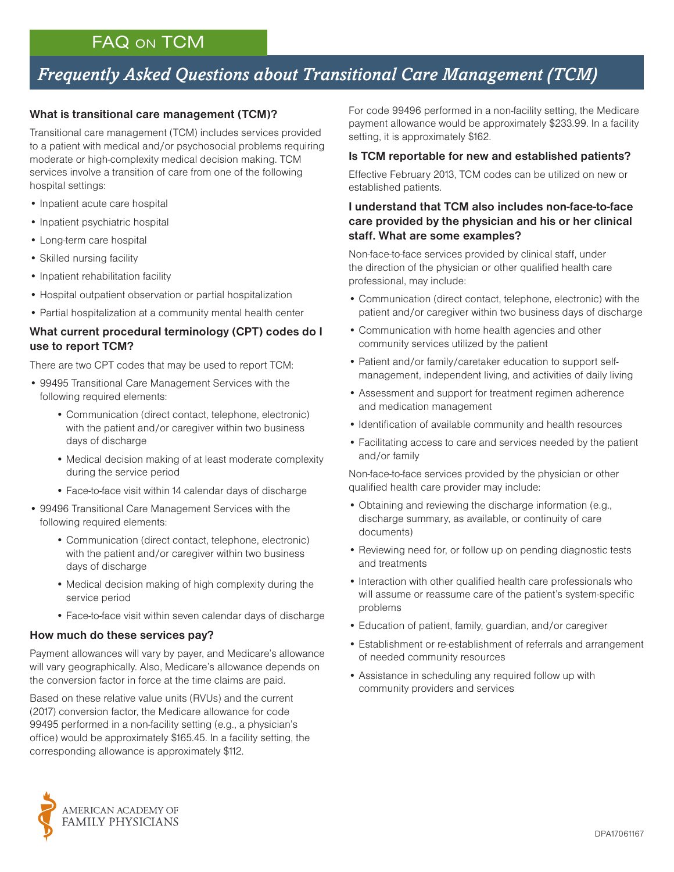# FAQ on TCM

# *Frequently Asked Questions about Transitional Care Management (TCM)*

#### **What is transitional care management (TCM)?**

Transitional care management (TCM) includes services provided to a patient with medical and/or psychosocial problems requiring moderate or high-complexity medical decision making. TCM services involve a transition of care from one of the following hospital settings:

- Inpatient acute care hospital
- Inpatient psychiatric hospital
- Long-term care hospital
- Skilled nursing facility
- Inpatient rehabilitation facility
- Hospital outpatient observation or partial hospitalization
- Partial hospitalization at a community mental health center

#### **What current procedural terminology (CPT) codes do I use to report TCM?**

There are two CPT codes that may be used to report TCM:

- 99495 Transitional Care Management Services with the following required elements:
	- Communication (direct contact, telephone, electronic) with the patient and/or caregiver within two business days of discharge
	- Medical decision making of at least moderate complexity during the service period
	- Face-to-face visit within 14 calendar days of discharge
- 99496 Transitional Care Management Services with the following required elements:
	- Communication (direct contact, telephone, electronic) with the patient and/or caregiver within two business days of discharge
	- Medical decision making of high complexity during the service period
	- Face-to-face visit within seven calendar days of discharge

#### **How much do these services pay?**

Payment allowances will vary by payer, and Medicare's allowance will vary geographically. Also, Medicare's allowance depends on the conversion factor in force at the time claims are paid.

Based on these relative value units (RVUs) and the current (2017) conversion factor, the Medicare allowance for code 99495 performed in a non-facility setting (e.g., a physician's office) would be approximately \$165.45. In a facility setting, the corresponding allowance is approximately \$112.

For code 99496 performed in a non-facility setting, the Medicare payment allowance would be approximately \$233.99. In a facility setting, it is approximately \$162.

#### **Is TCM reportable for new and established patients?**

Effective February 2013, TCM codes can be utilized on new or established patients.

# **I understand that TCM also includes non-face-to-face care provided by the physician and his or her clinical staff. What are some examples?**

Non-face-to-face services provided by clinical staff, under the direction of the physician or other qualified health care professional, may include:

- Communication (direct contact, telephone, electronic) with the patient and/or caregiver within two business days of discharge
- Communication with home health agencies and other community services utilized by the patient
- Patient and/or family/caretaker education to support selfmanagement, independent living, and activities of daily living
- Assessment and support for treatment regimen adherence and medication management
- Identification of available community and health resources
- Facilitating access to care and services needed by the patient and/or family

Non-face-to-face services provided by the physician or other qualified health care provider may include:

- Obtaining and reviewing the discharge information (e.g., discharge summary, as available, or continuity of care documents)
- Reviewing need for, or follow up on pending diagnostic tests and treatments
- Interaction with other qualified health care professionals who will assume or reassume care of the patient's system-specific problems
- Education of patient, family, guardian, and/or caregiver
- Establishment or re-establishment of referrals and arrangement of needed community resources
- Assistance in scheduling any required follow up with community providers and services

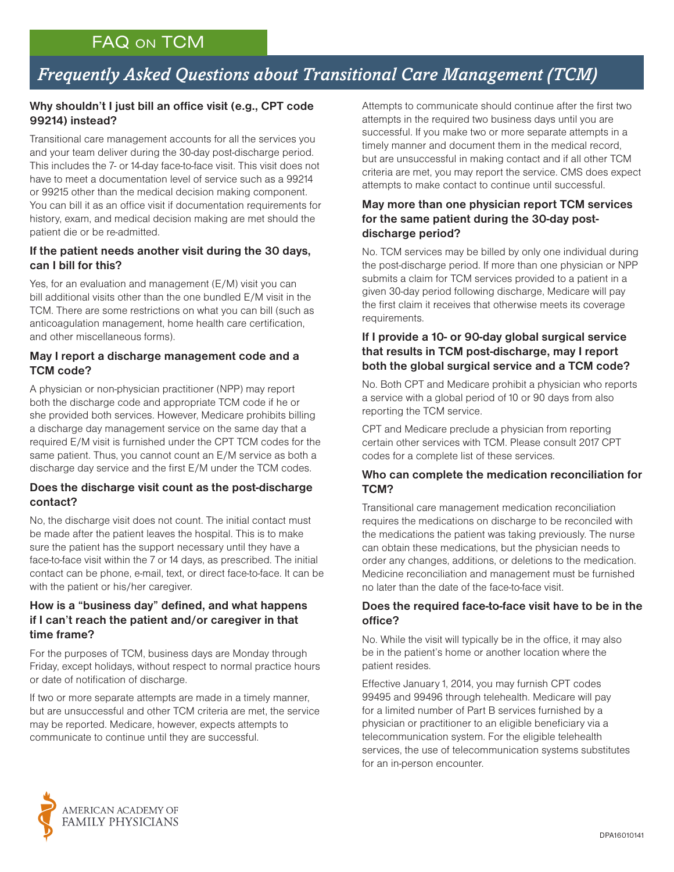# FAQ on TCM

# *Frequently Asked Questions about Transitional Care Management (TCM)*

### **Why shouldn't I just bill an office visit (e.g., CPT code 99214) instead?**

Transitional care management accounts for all the services you and your team deliver during the 30-day post-discharge period. This includes the 7- or 14-day face-to-face visit. This visit does not have to meet a documentation level of service such as a 99214 or 99215 other than the medical decision making component. You can bill it as an office visit if documentation requirements for history, exam, and medical decision making are met should the patient die or be re-admitted.

### **If the patient needs another visit during the 30 days, can I bill for this?**

Yes, for an evaluation and management (E/M) visit you can bill additional visits other than the one bundled E/M visit in the TCM. There are some restrictions on what you can bill (such as anticoagulation management, home health care certification, and other miscellaneous forms).

# **May I report a discharge management code and a TCM code?**

A physician or non-physician practitioner (NPP) may report both the discharge code and appropriate TCM code if he or she provided both services. However, Medicare prohibits billing a discharge day management service on the same day that a required E/M visit is furnished under the CPT TCM codes for the same patient. Thus, you cannot count an E/M service as both a discharge day service and the first E/M under the TCM codes.

### **Does the discharge visit count as the post-discharge contact?**

No, the discharge visit does not count. The initial contact must be made after the patient leaves the hospital. This is to make sure the patient has the support necessary until they have a face-to-face visit within the 7 or 14 days, as prescribed. The initial contact can be phone, e-mail, text, or direct face-to-face. It can be with the patient or his/her caregiver.

# **How is a "business day" defined, and what happens if I can't reach the patient and/or caregiver in that time frame?**

For the purposes of TCM, business days are Monday through Friday, except holidays, without respect to normal practice hours or date of notification of discharge.

If two or more separate attempts are made in a timely manner, but are unsuccessful and other TCM criteria are met, the service may be reported. Medicare, however, expects attempts to communicate to continue until they are successful.

Attempts to communicate should continue after the first two attempts in the required two business days until you are successful. If you make two or more separate attempts in a timely manner and document them in the medical record, but are unsuccessful in making contact and if all other TCM criteria are met, you may report the service. CMS does expect attempts to make contact to continue until successful.

# **May more than one physician report TCM services for the same patient during the 30-day postdischarge period?**

No. TCM services may be billed by only one individual during the post-discharge period. If more than one physician or NPP submits a claim for TCM services provided to a patient in a given 30-day period following discharge, Medicare will pay the first claim it receives that otherwise meets its coverage requirements.

# **If I provide a 10- or 90-day global surgical service that results in TCM post-discharge, may I report both the global surgical service and a TCM code?**

No. Both CPT and Medicare prohibit a physician who reports a service with a global period of 10 or 90 days from also reporting the TCM service.

CPT and Medicare preclude a physician from reporting certain other services with TCM. Please consult 2017 CPT codes for a complete list of these services.

### **Who can complete the medication reconciliation for TCM?**

Transitional care management medication reconciliation requires the medications on discharge to be reconciled with the medications the patient was taking previously. The nurse can obtain these medications, but the physician needs to order any changes, additions, or deletions to the medication. Medicine reconciliation and management must be furnished no later than the date of the face-to-face visit.

# **Does the required face-to-face visit have to be in the office?**

No. While the visit will typically be in the office, it may also be in the patient's home or another location where the patient resides.

Effective January 1, 2014, you may furnish CPT codes 99495 and 99496 through telehealth. Medicare will pay for a limited number of Part B services furnished by a physician or practitioner to an eligible beneficiary via a telecommunication system. For the eligible telehealth services, the use of telecommunication systems substitutes for an in-person encounter.